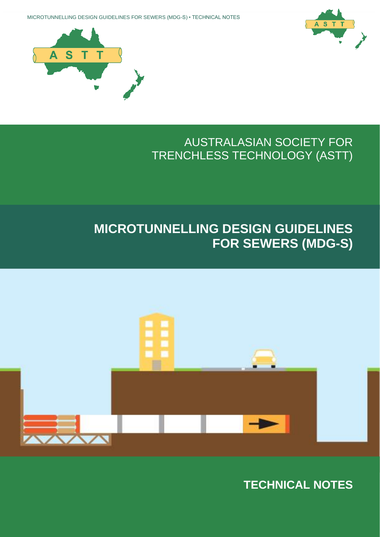

# **MICROTUNNELLING DESIGN GUIDELINES FOR SEWERS (MDG-S)**

## AUSTRALASIAN SOCIETY FOR TRENCHLESS TECHNOLOGY (ASTT)





MICROTUNNELLING DESIGN GUIDELINES FOR SEWERS (MDG-S) • TECHNICAL NOTES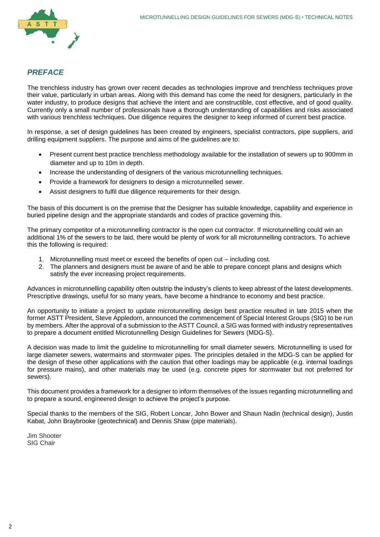

#### *PREFACE*

The trenchless industry has grown over recent decades as technologies improve and trenchless techniques prove their value, particularly in urban areas. Along with this demand has come the need for designers, particularly in the water industry, to produce designs that achieve the intent and are constructible, cost effective, and of good quality. Currently only a small number of professionals have a thorough understanding of capabilities and risks associated with various trenchless techniques. Due diligence requires the designer to keep informed of current best practice.

In response, a set of design guidelines has been created by engineers, specialist contractors, pipe suppliers, and drilling equipment suppliers. The purpose and aims of the guidelines are to:

- Present current best practice trenchless methodology available for the installation of sewers up to 900mm in diameter and up to 10m in depth.
- Increase the understanding of designers of the various microtunnelling techniques.
- Provide a framework for designers to design a microtunnelled sewer.
- Assist designers to fulfil due diligence requirements for their design.

The basis of this document is on the premise that the Designer has suitable knowledge, capability and experience in buried pipeline design and the appropriate standards and codes of practice governing this.

The primary competitor of a microtunnelling contractor is the open cut contractor. If microtunnelling could win an additional 1% of the sewers to be laid, there would be plenty of work for all microtunnelling contractors. To achieve this the following is required:

- 1. Microtunnelling must meet or exceed the benefits of open cut including cost.
- 2. The planners and designers must be aware of and be able to prepare concept plans and designs which satisfy the ever increasing project requirements.

Advances in microtunnelling capability often outstrip the industry's clients to keep abreast of the latest developments. Prescriptive drawings, useful for so many years, have become a hindrance to economy and best practice.

An opportunity to initiate a project to update microtunnelling design best practice resulted in late 2015 when the former ASTT President, Steve Appledorn, announced the commencement of Special Interest Groups (SIG) to be run by members. After the approval of a submission to the ASTT Council, a SIG was formed with industry representatives to prepare a document entitled Microtunnelling Design Guidelines for Sewers (MDG-S).

A decision was made to limit the guideline to microtunnelling for small diameter sewers. Microtunnelling is used for large diameter sewers, watermains and stormwater pipes. The principles detailed in the MDG-S can be applied for the design of these other applications with the caution that other loadings may be applicable (e.g. internal loadings for pressure mains), and other materials may be used (e.g. concrete pipes for stormwater but not preferred for sewers).

This document provides a framework for a designer to inform themselves of the issues regarding microtunnelling and to prepare a sound, engineered design to achieve the project's purpose.

Special thanks to the members of the SIG, Robert Loncar, John Bower and Shaun Nadin (technical design), Justin Kabat, John Braybrooke (geotechnical) and Dennis Shaw (pipe materials).

Jim Shooter SIG Chair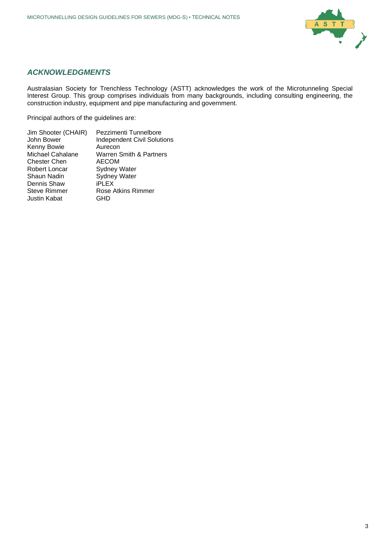

#### *ACKNOWLEDGMENTS*

Australasian Society for Trenchless Technology (ASTT) acknowledges the work of the Microtunneling Special Interest Group. This group comprises individuals from many backgrounds, including consulting engineering, the construction industry, equipment and pipe manufacturing and government.

Principal authors of the guidelines are: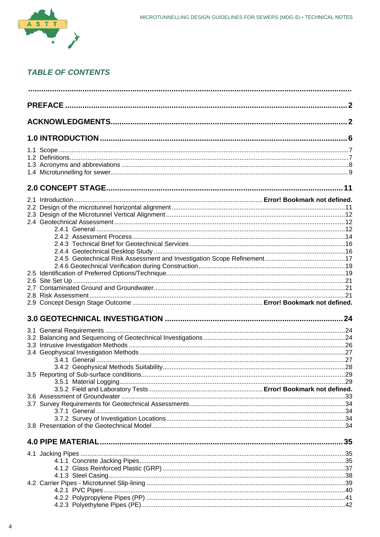

### **TABLE OF CONTENTS**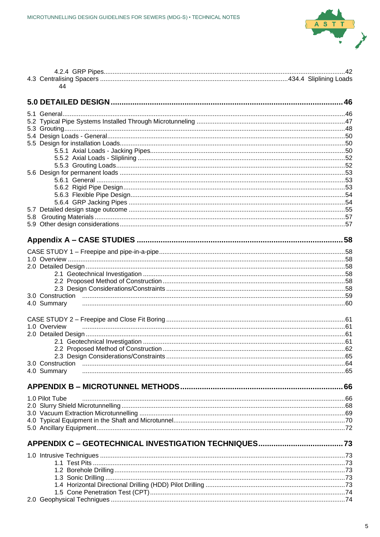

| 44                              |  |
|---------------------------------|--|
|                                 |  |
|                                 |  |
|                                 |  |
|                                 |  |
|                                 |  |
|                                 |  |
|                                 |  |
|                                 |  |
|                                 |  |
|                                 |  |
|                                 |  |
|                                 |  |
|                                 |  |
|                                 |  |
|                                 |  |
| 5.8                             |  |
|                                 |  |
|                                 |  |
|                                 |  |
|                                 |  |
|                                 |  |
|                                 |  |
|                                 |  |
|                                 |  |
| 4.0 Summary                     |  |
|                                 |  |
|                                 |  |
| 1.0 Overview                    |  |
|                                 |  |
|                                 |  |
|                                 |  |
|                                 |  |
| 3.0 Construction<br>4.0 Summary |  |
|                                 |  |
|                                 |  |
| 1.0 Pilot Tube                  |  |
|                                 |  |
|                                 |  |
|                                 |  |
|                                 |  |
|                                 |  |
|                                 |  |
|                                 |  |
|                                 |  |
|                                 |  |
|                                 |  |
|                                 |  |
|                                 |  |